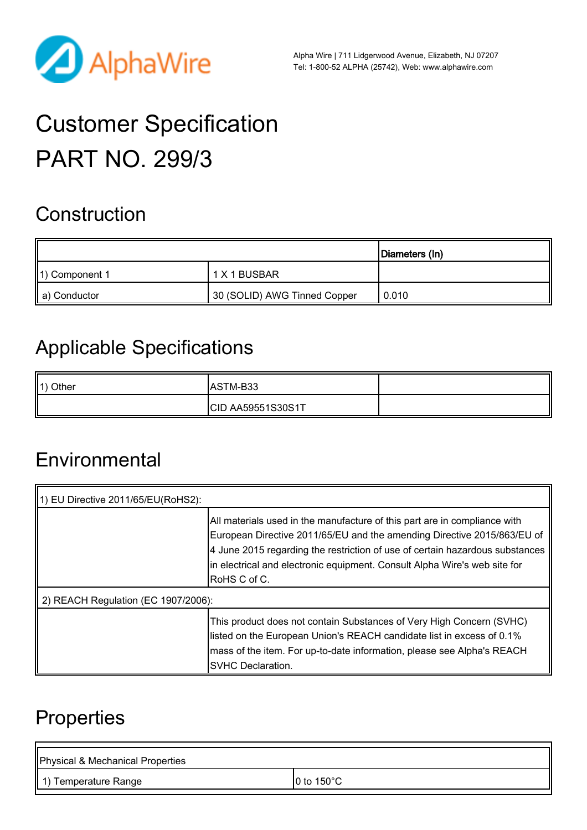

Alpha Wire | 711 Lidgerwood Avenue, Elizabeth, NJ 07207 Tel: 1-800-52 ALPHA (25742), Web: [www.alphawire.com](http://www.alphawire.com)

# Customer Specification PART NO. 299/3

# **Construction**

|                |                              | Diameters (In) |
|----------------|------------------------------|----------------|
| 1) Component 1 | 1 X 1 BUSBAR                 |                |
| a) Conductor   | 30 (SOLID) AWG Tinned Copper | 0.010          |

# Applicable Specifications

| $\parallel$ 1) Other | <b>JASTM-B33</b>  |  |
|----------------------|-------------------|--|
|                      | CID AA59551S30S1T |  |

#### **Environmental**

| 1) EU Directive 2011/65/EU(RoHS2):  |                                                                                                                                                                                                                                                                                                                                    |  |
|-------------------------------------|------------------------------------------------------------------------------------------------------------------------------------------------------------------------------------------------------------------------------------------------------------------------------------------------------------------------------------|--|
|                                     | All materials used in the manufacture of this part are in compliance with<br>European Directive 2011/65/EU and the amending Directive 2015/863/EU of<br>4 June 2015 regarding the restriction of use of certain hazardous substances<br>In electrical and electronic equipment. Consult Alpha Wire's web site for<br> RoHS C of C. |  |
| 2) REACH Regulation (EC 1907/2006): |                                                                                                                                                                                                                                                                                                                                    |  |
|                                     | This product does not contain Substances of Very High Concern (SVHC)<br>listed on the European Union's REACH candidate list in excess of 0.1%<br>mass of the item. For up-to-date information, please see Alpha's REACH<br><b>SVHC Declaration.</b>                                                                                |  |

# **Properties**

| Physical & Mechanical Properties |                      |
|----------------------------------|----------------------|
| 1) Temperature Range             | 0 to 150 $\degree$ C |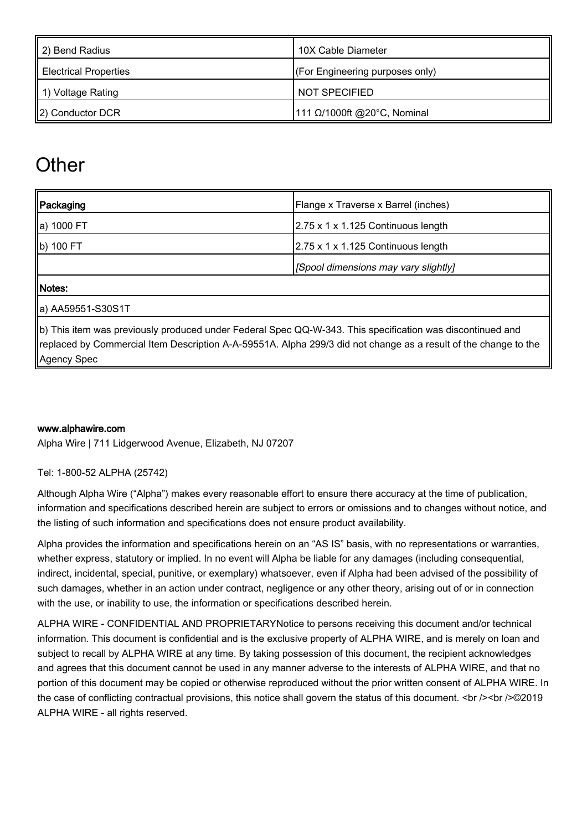| 2) Bend Radius        | 10X Cable Diameter              |
|-----------------------|---------------------------------|
| Electrical Properties | (For Engineering purposes only) |
| 1) Voltage Rating     | NOT SPECIFIED                   |
| 2) Conductor DCR      | 111 Ω/1000ft @20°C, Nominal     |

# **Other**

| Packaging                                                                                                                                                                                                                                   | Flange x Traverse x Barrel (inches)            |  |
|---------------------------------------------------------------------------------------------------------------------------------------------------------------------------------------------------------------------------------------------|------------------------------------------------|--|
| ∥a) 1000 FT                                                                                                                                                                                                                                 | 2.75 x 1 x 1.125 Continuous length             |  |
| b) 100 FT                                                                                                                                                                                                                                   | $2.75 \times 1 \times 1.125$ Continuous length |  |
|                                                                                                                                                                                                                                             | [Spool dimensions may vary slightly]           |  |
| Notes:                                                                                                                                                                                                                                      |                                                |  |
| ∥a) AA59551-S30S1T                                                                                                                                                                                                                          |                                                |  |
| b) This item was previously produced under Federal Spec QQ-W-343. This specification was discontinued and<br>replaced by Commercial Item Description A-A-59551A. Alpha 299/3 did not change as a result of the change to the<br>Agency Spec |                                                |  |

#### [www.alphawire.com](http://www.alphawire.com)

Alpha Wire | 711 Lidgerwood Avenue, Elizabeth, NJ 07207

Tel: 1-800-52 ALPHA (25742)

Although Alpha Wire ("Alpha") makes every reasonable effort to ensure there accuracy at the time of publication, information and specifications described herein are subject to errors or omissions and to changes without notice, and the listing of such information and specifications does not ensure product availability.

Alpha provides the information and specifications herein on an "AS IS" basis, with no representations or warranties, whether express, statutory or implied. In no event will Alpha be liable for any damages (including consequential, indirect, incidental, special, punitive, or exemplary) whatsoever, even if Alpha had been advised of the possibility of such damages, whether in an action under contract, negligence or any other theory, arising out of or in connection with the use, or inability to use, the information or specifications described herein.

ALPHA WIRE - CONFIDENTIAL AND PROPRIETARYNotice to persons receiving this document and/or technical information. This document is confidential and is the exclusive property of ALPHA WIRE, and is merely on loan and subject to recall by ALPHA WIRE at any time. By taking possession of this document, the recipient acknowledges and agrees that this document cannot be used in any manner adverse to the interests of ALPHA WIRE, and that no portion of this document may be copied or otherwise reproduced without the prior written consent of ALPHA WIRE. In the case of conflicting contractual provisions, this notice shall govern the status of this document. <br />>>>>><br />></>><</>©2019 ALPHA WIRE - all rights reserved.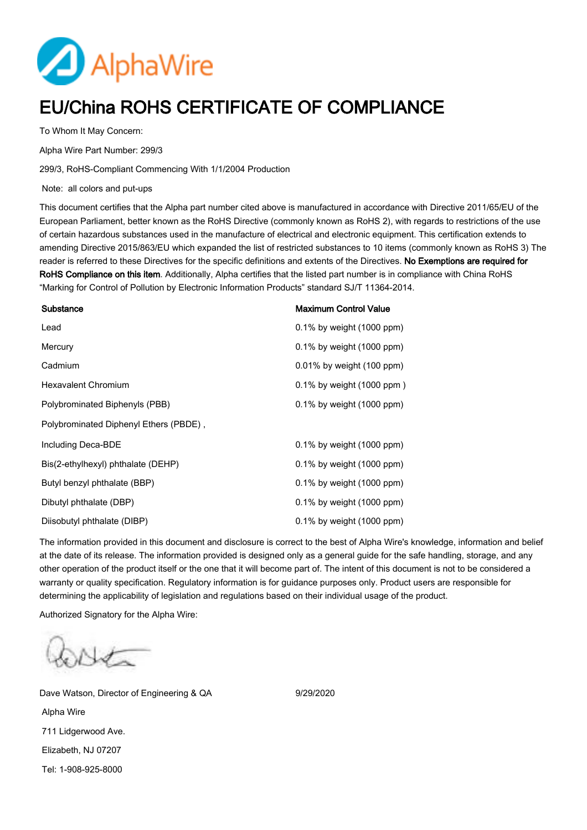

#### EU/China ROHS CERTIFICATE OF COMPLIANCE

To Whom It May Concern:

Alpha Wire Part Number: 299/3

299/3, RoHS-Compliant Commencing With 1/1/2004 Production

Note: all colors and put-ups

This document certifies that the Alpha part number cited above is manufactured in accordance with Directive 2011/65/EU of the European Parliament, better known as the RoHS Directive (commonly known as RoHS 2), with regards to restrictions of the use of certain hazardous substances used in the manufacture of electrical and electronic equipment. This certification extends to amending Directive 2015/863/EU which expanded the list of restricted substances to 10 items (commonly known as RoHS 3) The reader is referred to these Directives for the specific definitions and extents of the Directives. No Exemptions are required for RoHS Compliance on this item. Additionally, Alpha certifies that the listed part number is in compliance with China RoHS "Marking for Control of Pollution by Electronic Information Products" standard SJ/T 11364-2014.

| Substance                              | <b>Maximum Control Value</b> |
|----------------------------------------|------------------------------|
| Lead                                   | $0.1\%$ by weight (1000 ppm) |
| Mercury                                | $0.1\%$ by weight (1000 ppm) |
| Cadmium                                | $0.01\%$ by weight (100 ppm) |
| <b>Hexavalent Chromium</b>             | $0.1\%$ by weight (1000 ppm) |
| Polybrominated Biphenyls (PBB)         | $0.1\%$ by weight (1000 ppm) |
| Polybrominated Diphenyl Ethers (PBDE), |                              |
| Including Deca-BDE                     | $0.1\%$ by weight (1000 ppm) |
| Bis(2-ethylhexyl) phthalate (DEHP)     | $0.1\%$ by weight (1000 ppm) |
| Butyl benzyl phthalate (BBP)           | $0.1\%$ by weight (1000 ppm) |
| Dibutyl phthalate (DBP)                | $0.1\%$ by weight (1000 ppm) |
| Diisobutyl phthalate (DIBP)            | $0.1\%$ by weight (1000 ppm) |

The information provided in this document and disclosure is correct to the best of Alpha Wire's knowledge, information and belief at the date of its release. The information provided is designed only as a general guide for the safe handling, storage, and any other operation of the product itself or the one that it will become part of. The intent of this document is not to be considered a warranty or quality specification. Regulatory information is for guidance purposes only. Product users are responsible for determining the applicability of legislation and regulations based on their individual usage of the product.

Authorized Signatory for the Alpha Wire:

Dave Watson, Director of Engineering & QA 9/29/2020 Alpha Wire 711 Lidgerwood Ave. Elizabeth, NJ 07207 Tel: 1-908-925-8000